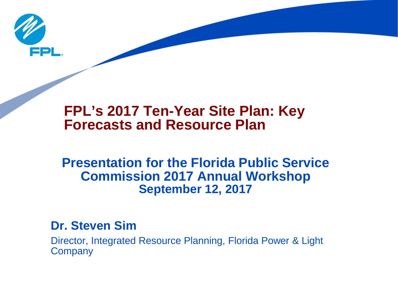

# **FPL's 2017 Ten-Year Site Plan: Key Forecasts and Resource Plan**

## **Presentation for the Florida Public Service Commission 2017 Annual Workshop September 12, 2017**

### **Dr. Steven Sim**

Director, Integrated Resource Planning, Florida Power & Light **Company**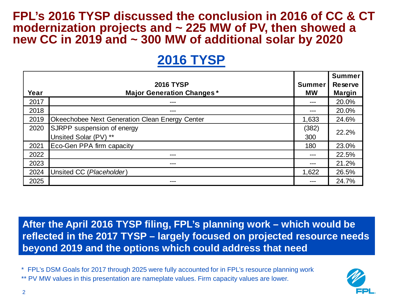#### **FPL's 2016 TYSP discussed the conclusion in 2016 of CC & CT modernization projects and ~ 225 MW of PV, then showed a new CC in 2019 and ~ 300 MW of additional solar by 2020**

# **2016 TYSP**

|      |                                                |               | <b>Summer</b>  |
|------|------------------------------------------------|---------------|----------------|
|      | <b>2016 TYSP</b>                               | <b>Summer</b> | <b>Reserve</b> |
| Year | <b>Major Generation Changes*</b>               | <b>MW</b>     | <b>Margin</b>  |
| 2017 | ---                                            |               | 20.0%          |
| 2018 | ---                                            | ---           | 20.0%          |
| 2019 | Okeechobee Next Generation Clean Energy Center | 1,633         | 24.6%          |
| 2020 | SJRPP suspension of energy                     | (382)         | 22.2%          |
|      | Unsited Solar (PV) **                          | 300           |                |
| 2021 | Eco-Gen PPA firm capacity                      | 180           | 23.0%          |
| 2022 | ---                                            | $---$         | 22.5%          |
| 2023 | ---                                            | ---           | 21.2%          |
| 2024 | Unsited CC (Placeholder)                       | 1,622         | 26.5%          |
| 2025 | ---                                            |               | 24.7%          |

**After the April 2016 TYSP filing, FPL's planning work – which would be reflected in the 2017 TYSP – largely focused on projected resource needs beyond 2019 and the options which could address that need**

\* FPL's DSM Goals for 2017 through 2025 were fully accounted for in FPL's resource planning work \*\* PV MW values in this presentation are nameplate values. Firm capacity values are lower.

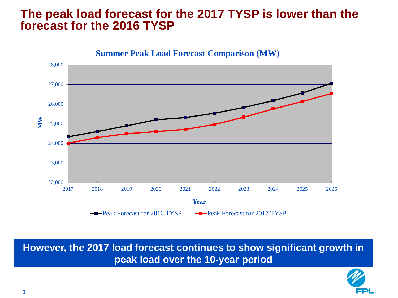#### **The peak load forecast for the 2017 TYSP is lower than the forecast for the 2016 TYSP**



**However, the 2017 load forecast continues to show significant growth in peak load over the 10-year period**

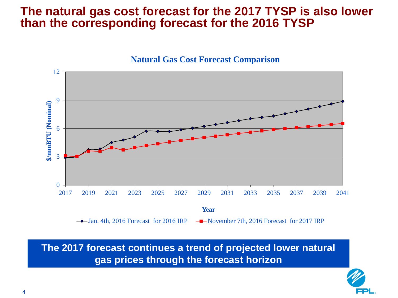#### **The natural gas cost forecast for the 2017 TYSP is also lower than the corresponding forecast for the 2016 TYSP**



**The 2017 forecast continues a trend of projected lower natural gas prices through the forecast horizon**

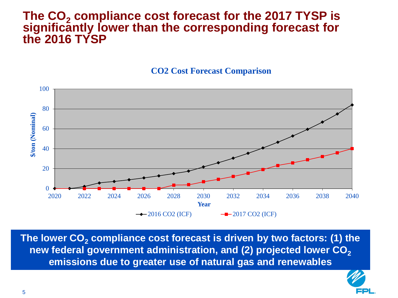#### The CO<sub>2</sub> compliance cost forecast for the 2017 TYSP is **significantly lower than the corresponding forecast for the 2016 TYSP**

**CO2 Cost Forecast Comparison**



The lower CO<sub>2</sub> compliance cost forecast is driven by two factors: (1) the **new federal government administration, and (2) projected lower CO<sub>2</sub> emissions due to greater use of natural gas and renewables** 

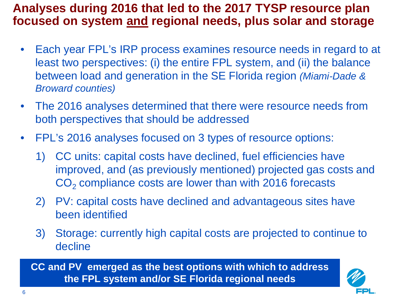### **Analyses during 2016 that led to the 2017 TYSP resource plan focused on system and regional needs, plus solar and storage**

- Each year FPL's IRP process examines resource needs in regard to at least two perspectives: (i) the entire FPL system, and (ii) the balance between load and generation in the SE Florida region *(Miami-Dade & Broward counties)*
- The 2016 analyses determined that there were resource needs from both perspectives that should be addressed
- FPL's 2016 analyses focused on 3 types of resource options:
	- 1) CC units: capital costs have declined, fuel efficiencies have improved, and (as previously mentioned) projected gas costs and  $CO<sub>2</sub>$  compliance costs are lower than with 2016 forecasts
	- 2) PV: capital costs have declined and advantageous sites have been identified
	- 3) Storage: currently high capital costs are projected to continue to decline

**CC and PV emerged as the best options with which to address the FPL system and/or SE Florida regional needs**